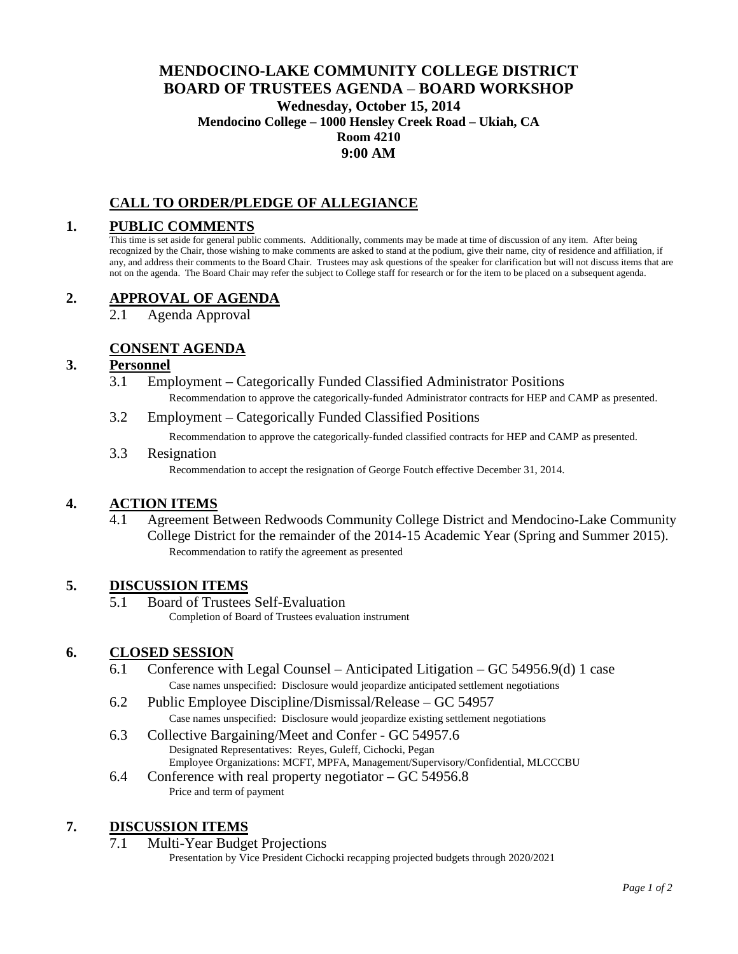## **MENDOCINO-LAKE COMMUNITY COLLEGE DISTRICT BOARD OF TRUSTEES AGENDA** – **BOARD WORKSHOP Wednesday, October 15, 2014 Mendocino College – 1000 Hensley Creek Road – Ukiah, CA Room 4210 9:00 AM**

## **CALL TO ORDER/PLEDGE OF ALLEGIANCE**

#### **1. PUBLIC COMMENTS**

This time is set aside for general public comments. Additionally, comments may be made at time of discussion of any item. After being recognized by the Chair, those wishing to make comments are asked to stand at the podium, give their name, city of residence and affiliation, if any, and address their comments to the Board Chair. Trustees may ask questions of the speaker for clarification but will not discuss items that are not on the agenda. The Board Chair may refer the subject to College staff for research or for the item to be placed on a subsequent agenda.

#### **2. APPROVAL OF AGENDA**

2.1 Agenda Approval

### **CONSENT AGENDA**

#### **3. Personnel**

- 3.1 Employment Categorically Funded Classified Administrator Positions Recommendation to approve the categorically-funded Administrator contracts for HEP and CAMP as presented.
- 3.2 Employment Categorically Funded Classified Positions

Recommendation to approve the categorically-funded classified contracts for HEP and CAMP as presented.

3.3 Resignation

Recommendation to accept the resignation of George Foutch effective December 31, 2014.

#### **4. ACTION ITEMS**

4.1 Agreement Between Redwoods Community College District and Mendocino-Lake Community College District for the remainder of the 2014-15 Academic Year (Spring and Summer 2015). Recommendation to ratify the agreement as presented

#### **5. DISCUSSION ITEMS**

5.1 Board of Trustees Self-Evaluation Completion of Board of Trustees evaluation instrument

#### **6. CLOSED SESSION**

- 6.1 Conference with Legal Counsel Anticipated Litigation GC 54956.9(d) 1 case Case names unspecified: Disclosure would jeopardize anticipated settlement negotiations
- 6.2 Public Employee Discipline/Dismissal/Release GC 54957 Case names unspecified: Disclosure would jeopardize existing settlement negotiations
- 6.3 Collective Bargaining/Meet and Confer GC 54957.6 Designated Representatives: Reyes, Guleff, Cichocki, Pegan Employee Organizations: MCFT, MPFA, Management/Supervisory/Confidential, MLCCCBU
- 6.4 Conference with real property negotiator GC 54956.8 Price and term of payment

#### **7. DISCUSSION ITEMS**

7.1 Multi-Year Budget Projections

Presentation by Vice President Cichocki recapping projected budgets through 2020/2021